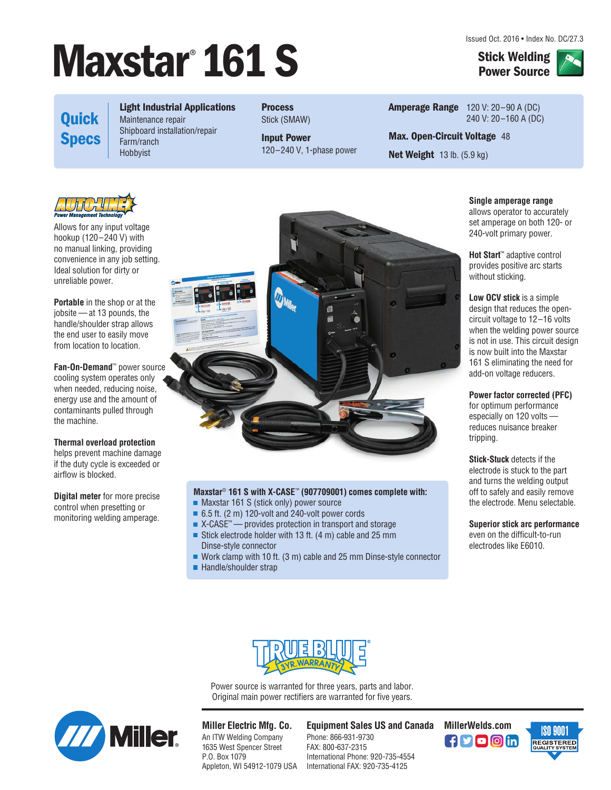Issued Oct. 2016 • Index No. DC/27.3

**Power Source** 



# **Maxstar 161 S Stick Welding**<br> **Power Source**

**Quick Specs**

**Light Industrial Applications** Maintenance repair Shipboard installation/repair Farm/ranch Hobbyist

**Process** Stick (SMAW)

**Input Power** 120–240 V, 1-phase power **Amperage Range** 120 V: 20–90 A (DC) 240 V: 20–160 A (DC)

**Max. Open-Circuit Voltage** 48

**Net Weight** 13 lb. (5.9 kg)



Allows for any input voltage hookup (120–240 V) with no manual linking, providing convenience in any job setting. Ideal solution for dirty or unreliable power.

**Portable** in the shop or at the jobsite — at 13 pounds, the handle/shoulder strap allows the end user to easily move from location to location.

**Fan-On-Demand**™ power source cooling system operates only when needed, reducing noise, energy use and the amount of contaminants pulled through the machine.

#### **Thermal overload protection**

helps prevent machine damage if the duty cycle is exceeded or airflow is blocked.

**Digital meter** for more precise control when presetting or monitoring welding amperage.



#### **Maxstar**® **161 S with X-CASE**™ **(907709001) comes complete with:**

- Maxstar 161 S (stick only) power source
- 6.5 ft. (2 m) 120-volt and 240-volt power cords
- X-CASE<sup>™</sup> provides protection in transport and storage Stick electrode holder with 13 ft.  $(4 \text{ m})$  cable and 25 mm
- Dinse-style connector
- Work clamp with 10 ft. (3 m) cable and 25 mm Dinse-style connector
- Handle/shoulder strap

allows operator to accurately set amperage on both 120- or

**Single amperage range** 

240-volt primary power. **Hot Start**™ adaptive control

provides positive arc starts without sticking.

**Low OCV stick** is a simple design that reduces the opencircuit voltage to 12–16 volts when the welding power source is not in use. This circuit design is now built into the Maxstar 161 S eliminating the need for add-on voltage reducers.

**Power factor corrected (PFC)**

for optimum performance especially on 120 volts reduces nuisance breaker tripping.

**Stick-Stuck** detects if the electrode is stuck to the part and turns the welding output off to safely and easily remove the electrode. Menu selectable.

**Superior stick arc performance** even on the difficult-to-run electrodes like E6010.



Power source is warranted for three years, parts and labor. Original main power rectifiers are warranted for five years.



An ITW Welding Company 1635 West Spencer Street P.O. Box 1079 Appleton, WI 54912-1079 USA

**Miller Electric Mfg. Co.** Equipment Sales US and Canada MillerWelds.com

Phone: 866-931-9730 FAX: 800-637-2315 International Phone: 920-735-4554 International FAX: 920-735-4125